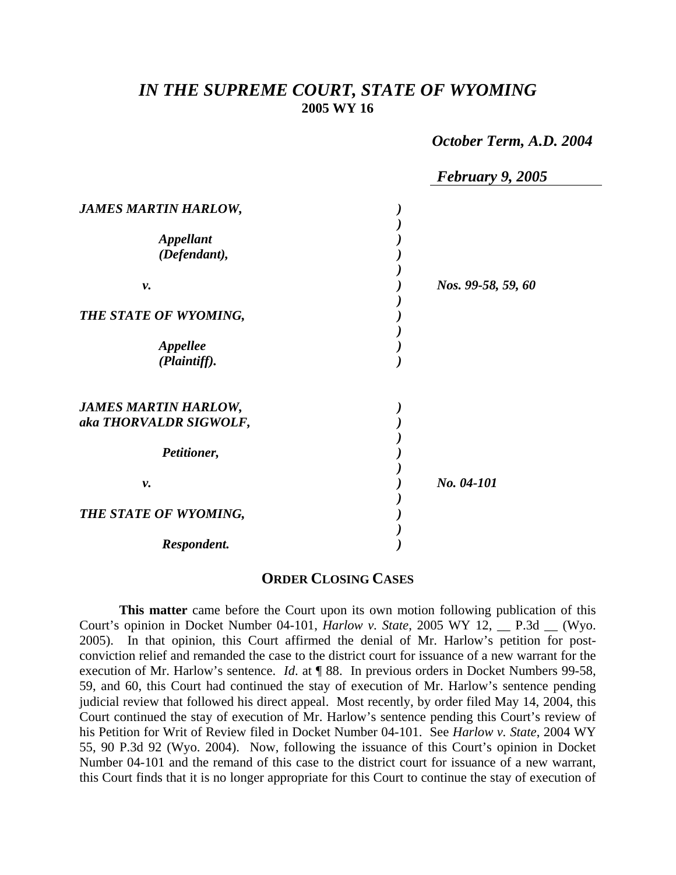## *IN THE SUPREME COURT, STATE OF WYOMING*  **2005 WY 16**

 *October Term, A.D. 2004* 

|                                                       | <b>February 9, 2005</b> |
|-------------------------------------------------------|-------------------------|
| <b>JAMES MARTIN HARLOW,</b>                           |                         |
| <b>Appellant</b><br>(Defendant),                      |                         |
| ν.                                                    | Nos. 99-58, 59, 60      |
| THE STATE OF WYOMING,                                 |                         |
| <b>Appellee</b><br>(Plaintiff).                       |                         |
| <b>JAMES MARTIN HARLOW,</b><br>aka THORVALDR SIGWOLF, |                         |
| Petitioner,                                           |                         |
| ν.                                                    | No. 04-101              |
| THE STATE OF WYOMING,                                 |                         |
| Respondent.                                           |                         |

## **ORDER CLOSING CASES**

**This matter** came before the Court upon its own motion following publication of this Court's opinion in Docket Number 04-101, *Harlow v. State*, 2005 WY 12, \_\_ P.3d \_\_ (Wyo. 2005). In that opinion, this Court affirmed the denial of Mr. Harlow's petition for postconviction relief and remanded the case to the district court for issuance of a new warrant for the execution of Mr. Harlow's sentence. *Id*. at ¶ 88. In previous orders in Docket Numbers 99-58, 59, and 60, this Court had continued the stay of execution of Mr. Harlow's sentence pending judicial review that followed his direct appeal. Most recently, by order filed May 14, 2004, this Court continued the stay of execution of Mr. Harlow's sentence pending this Court's review of his Petition for Writ of Review filed in Docket Number 04-101. See *Harlow v. State*, 2004 WY 55, 90 P.3d 92 (Wyo. 2004). Now, following the issuance of this Court's opinion in Docket Number 04-101 and the remand of this case to the district court for issuance of a new warrant, this Court finds that it is no longer appropriate for this Court to continue the stay of execution of